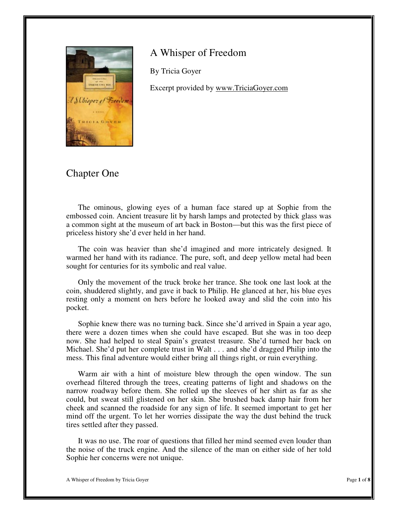

## A Whisper of Freedom

By Tricia Goyer

Excerpt provided by www.TriciaGoyer.com

## Chapter One

The ominous, glowing eyes of a human face stared up at Sophie from the embossed coin. Ancient treasure lit by harsh lamps and protected by thick glass was a common sight at the museum of art back in Boston—but this was the first piece of priceless history she'd ever held in her hand.

The coin was heavier than she'd imagined and more intricately designed. It warmed her hand with its radiance. The pure, soft, and deep yellow metal had been sought for centuries for its symbolic and real value.

Only the movement of the truck broke her trance. She took one last look at the coin, shuddered slightly, and gave it back to Philip. He glanced at her, his blue eyes resting only a moment on hers before he looked away and slid the coin into his pocket.

Sophie knew there was no turning back. Since she'd arrived in Spain a year ago, there were a dozen times when she could have escaped. But she was in too deep now. She had helped to steal Spain's greatest treasure. She'd turned her back on Michael. She'd put her complete trust in Walt . . . and she'd dragged Philip into the mess. This final adventure would either bring all things right, or ruin everything.

Warm air with a hint of moisture blew through the open window. The sun overhead filtered through the trees, creating patterns of light and shadows on the narrow roadway before them. She rolled up the sleeves of her shirt as far as she could, but sweat still glistened on her skin. She brushed back damp hair from her cheek and scanned the roadside for any sign of life. It seemed important to get her mind off the urgent. To let her worries dissipate the way the dust behind the truck tires settled after they passed.

It was no use. The roar of questions that filled her mind seemed even louder than the noise of the truck engine. And the silence of the man on either side of her told Sophie her concerns were not unique.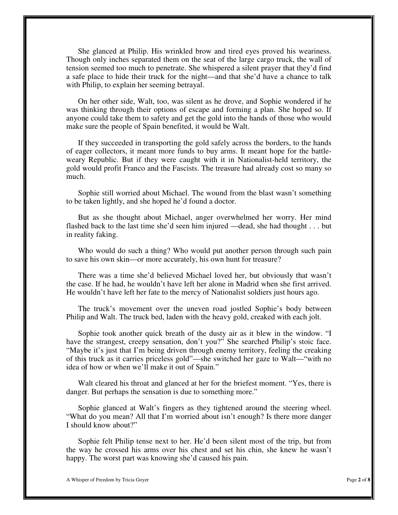She glanced at Philip. His wrinkled brow and tired eyes proved his weariness. Though only inches separated them on the seat of the large cargo truck, the wall of tension seemed too much to penetrate. She whispered a silent prayer that they'd find a safe place to hide their truck for the night—and that she'd have a chance to talk with Philip, to explain her seeming betrayal.

On her other side, Walt, too, was silent as he drove, and Sophie wondered if he was thinking through their options of escape and forming a plan. She hoped so. If anyone could take them to safety and get the gold into the hands of those who would make sure the people of Spain benefited, it would be Walt.

If they succeeded in transporting the gold safely across the borders, to the hands of eager collectors, it meant more funds to buy arms. It meant hope for the battleweary Republic. But if they were caught with it in Nationalist-held territory, the gold would profit Franco and the Fascists. The treasure had already cost so many so much.

Sophie still worried about Michael. The wound from the blast wasn't something to be taken lightly, and she hoped he'd found a doctor.

But as she thought about Michael, anger overwhelmed her worry. Her mind flashed back to the last time she'd seen him injured —dead, she had thought . . . but in reality faking.

Who would do such a thing? Who would put another person through such pain to save his own skin—or more accurately, his own hunt for treasure?

There was a time she'd believed Michael loved her, but obviously that wasn't the case. If he had, he wouldn't have left her alone in Madrid when she first arrived. He wouldn't have left her fate to the mercy of Nationalist soldiers just hours ago.

The truck's movement over the uneven road jostled Sophie's body between Philip and Walt. The truck bed, laden with the heavy gold, creaked with each jolt.

Sophie took another quick breath of the dusty air as it blew in the window. "I have the strangest, creepy sensation, don't you?" She searched Philip's stoic face. "Maybe it's just that I'm being driven through enemy territory, feeling the creaking of this truck as it carries priceless gold"—she switched her gaze to Walt—"with no idea of how or when we'll make it out of Spain."

Walt cleared his throat and glanced at her for the briefest moment. "Yes, there is danger. But perhaps the sensation is due to something more."

Sophie glanced at Walt's fingers as they tightened around the steering wheel. "What do you mean? All that I'm worried about isn't enough? Is there more danger I should know about?"

Sophie felt Philip tense next to her. He'd been silent most of the trip, but from the way he crossed his arms over his chest and set his chin, she knew he wasn't happy. The worst part was knowing she'd caused his pain.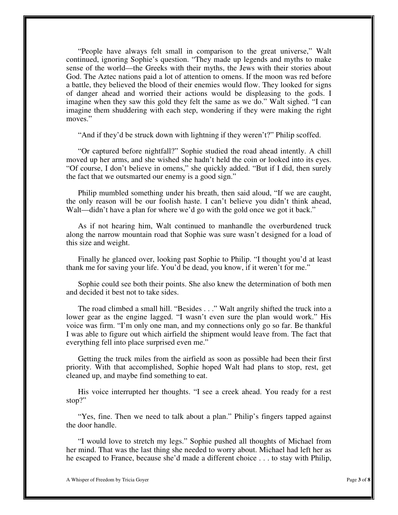"People have always felt small in comparison to the great universe," Walt continued, ignoring Sophie's question. "They made up legends and myths to make sense of the world—the Greeks with their myths, the Jews with their stories about God. The Aztec nations paid a lot of attention to omens. If the moon was red before a battle, they believed the blood of their enemies would flow. They looked for signs of danger ahead and worried their actions would be displeasing to the gods. I imagine when they saw this gold they felt the same as we do." Walt sighed. "I can imagine them shuddering with each step, wondering if they were making the right moves."

"And if they'd be struck down with lightning if they weren't?" Philip scoffed.

"Or captured before nightfall?" Sophie studied the road ahead intently. A chill moved up her arms, and she wished she hadn't held the coin or looked into its eyes. "Of course, I don't believe in omens," she quickly added. "But if I did, then surely the fact that we outsmarted our enemy is a good sign."

Philip mumbled something under his breath, then said aloud, "If we are caught, the only reason will be our foolish haste. I can't believe you didn't think ahead, Walt—didn't have a plan for where we'd go with the gold once we got it back."

As if not hearing him, Walt continued to manhandle the overburdened truck along the narrow mountain road that Sophie was sure wasn't designed for a load of this size and weight.

Finally he glanced over, looking past Sophie to Philip. "I thought you'd at least thank me for saving your life. You'd be dead, you know, if it weren't for me."

Sophie could see both their points. She also knew the determination of both men and decided it best not to take sides.

The road climbed a small hill. "Besides . . ." Walt angrily shifted the truck into a lower gear as the engine lagged. "I wasn't even sure the plan would work." His voice was firm. "I'm only one man, and my connections only go so far. Be thankful I was able to figure out which airfield the shipment would leave from. The fact that everything fell into place surprised even me."

Getting the truck miles from the airfield as soon as possible had been their first priority. With that accomplished, Sophie hoped Walt had plans to stop, rest, get cleaned up, and maybe find something to eat.

His voice interrupted her thoughts. "I see a creek ahead. You ready for a rest stop?"

"Yes, fine. Then we need to talk about a plan." Philip's fingers tapped against the door handle.

"I would love to stretch my legs." Sophie pushed all thoughts of Michael from her mind. That was the last thing she needed to worry about. Michael had left her as he escaped to France, because she'd made a different choice . . . to stay with Philip,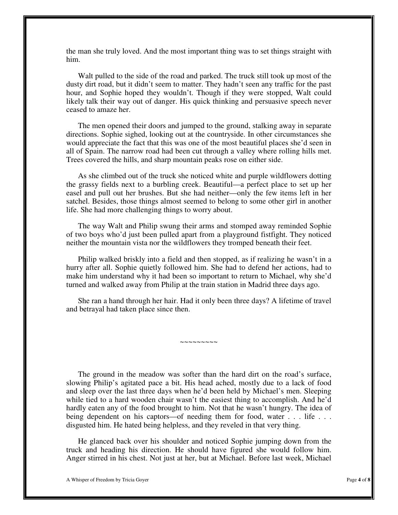the man she truly loved. And the most important thing was to set things straight with him.

Walt pulled to the side of the road and parked. The truck still took up most of the dusty dirt road, but it didn't seem to matter. They hadn't seen any traffic for the past hour, and Sophie hoped they wouldn't. Though if they were stopped, Walt could likely talk their way out of danger. His quick thinking and persuasive speech never ceased to amaze her.

The men opened their doors and jumped to the ground, stalking away in separate directions. Sophie sighed, looking out at the countryside. In other circumstances she would appreciate the fact that this was one of the most beautiful places she'd seen in all of Spain. The narrow road had been cut through a valley where rolling hills met. Trees covered the hills, and sharp mountain peaks rose on either side.

As she climbed out of the truck she noticed white and purple wildflowers dotting the grassy fields next to a burbling creek. Beautiful—a perfect place to set up her easel and pull out her brushes. But she had neither—only the few items left in her satchel. Besides, those things almost seemed to belong to some other girl in another life. She had more challenging things to worry about.

The way Walt and Philip swung their arms and stomped away reminded Sophie of two boys who'd just been pulled apart from a playground fistfight. They noticed neither the mountain vista nor the wildflowers they tromped beneath their feet.

Philip walked briskly into a field and then stopped, as if realizing he wasn't in a hurry after all. Sophie quietly followed him. She had to defend her actions, had to make him understand why it had been so important to return to Michael, why she'd turned and walked away from Philip at the train station in Madrid three days ago.

She ran a hand through her hair. Had it only been three days? A lifetime of travel and betrayal had taken place since then.

~~~~~~~~~

The ground in the meadow was softer than the hard dirt on the road's surface, slowing Philip's agitated pace a bit. His head ached, mostly due to a lack of food and sleep over the last three days when he'd been held by Michael's men. Sleeping while tied to a hard wooden chair wasn't the easiest thing to accomplish. And he'd hardly eaten any of the food brought to him. Not that he wasn't hungry. The idea of being dependent on his captors—of needing them for food, water . . . life . . . disgusted him. He hated being helpless, and they reveled in that very thing.

He glanced back over his shoulder and noticed Sophie jumping down from the truck and heading his direction. He should have figured she would follow him. Anger stirred in his chest. Not just at her, but at Michael. Before last week, Michael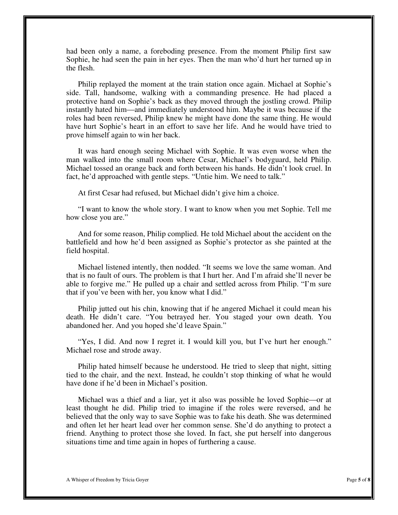had been only a name, a foreboding presence. From the moment Philip first saw Sophie, he had seen the pain in her eyes. Then the man who'd hurt her turned up in the flesh.

Philip replayed the moment at the train station once again. Michael at Sophie's side. Tall, handsome, walking with a commanding presence. He had placed a protective hand on Sophie's back as they moved through the jostling crowd. Philip instantly hated him—and immediately understood him. Maybe it was because if the roles had been reversed, Philip knew he might have done the same thing. He would have hurt Sophie's heart in an effort to save her life. And he would have tried to prove himself again to win her back.

It was hard enough seeing Michael with Sophie. It was even worse when the man walked into the small room where Cesar, Michael's bodyguard, held Philip. Michael tossed an orange back and forth between his hands. He didn't look cruel. In fact, he'd approached with gentle steps. "Untie him. We need to talk."

At first Cesar had refused, but Michael didn't give him a choice.

"I want to know the whole story. I want to know when you met Sophie. Tell me how close you are."

And for some reason, Philip complied. He told Michael about the accident on the battlefield and how he'd been assigned as Sophie's protector as she painted at the field hospital.

Michael listened intently, then nodded. "It seems we love the same woman. And that is no fault of ours. The problem is that I hurt her. And I'm afraid she'll never be able to forgive me." He pulled up a chair and settled across from Philip. "I'm sure that if you've been with her, you know what I did."

Philip jutted out his chin, knowing that if he angered Michael it could mean his death. He didn't care. "You betrayed her. You staged your own death. You abandoned her. And you hoped she'd leave Spain."

"Yes, I did. And now I regret it. I would kill you, but I've hurt her enough." Michael rose and strode away.

Philip hated himself because he understood. He tried to sleep that night, sitting tied to the chair, and the next. Instead, he couldn't stop thinking of what he would have done if he'd been in Michael's position.

Michael was a thief and a liar, yet it also was possible he loved Sophie—or at least thought he did. Philip tried to imagine if the roles were reversed, and he believed that the only way to save Sophie was to fake his death. She was determined and often let her heart lead over her common sense. She'd do anything to protect a friend. Anything to protect those she loved. In fact, she put herself into dangerous situations time and time again in hopes of furthering a cause.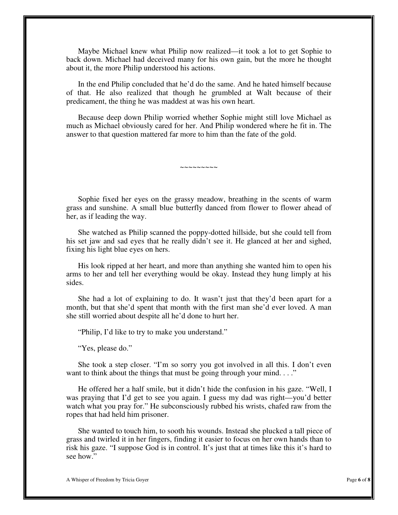Maybe Michael knew what Philip now realized—it took a lot to get Sophie to back down. Michael had deceived many for his own gain, but the more he thought about it, the more Philip understood his actions.

In the end Philip concluded that he'd do the same. And he hated himself because of that. He also realized that though he grumbled at Walt because of their predicament, the thing he was maddest at was his own heart.

Because deep down Philip worried whether Sophie might still love Michael as much as Michael obviously cared for her. And Philip wondered where he fit in. The answer to that question mattered far more to him than the fate of the gold.

 $\sim\sim\sim\sim\sim\sim\sim\sim$ 

Sophie fixed her eyes on the grassy meadow, breathing in the scents of warm grass and sunshine. A small blue butterfly danced from flower to flower ahead of her, as if leading the way.

She watched as Philip scanned the poppy-dotted hillside, but she could tell from his set jaw and sad eyes that he really didn't see it. He glanced at her and sighed, fixing his light blue eyes on hers.

His look ripped at her heart, and more than anything she wanted him to open his arms to her and tell her everything would be okay. Instead they hung limply at his sides.

She had a lot of explaining to do. It wasn't just that they'd been apart for a month, but that she'd spent that month with the first man she'd ever loved. A man she still worried about despite all he'd done to hurt her.

"Philip, I'd like to try to make you understand."

"Yes, please do."

She took a step closer. "I'm so sorry you got involved in all this. I don't even want to think about the things that must be going through your mind...."

He offered her a half smile, but it didn't hide the confusion in his gaze. "Well, I was praying that I'd get to see you again. I guess my dad was right—you'd better watch what you pray for." He subconsciously rubbed his wrists, chafed raw from the ropes that had held him prisoner.

She wanted to touch him, to sooth his wounds. Instead she plucked a tall piece of grass and twirled it in her fingers, finding it easier to focus on her own hands than to risk his gaze. "I suppose God is in control. It's just that at times like this it's hard to see how."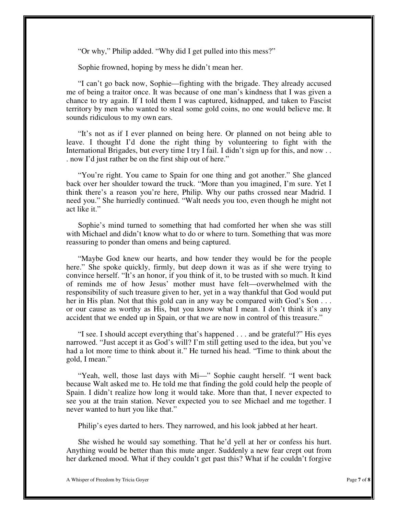"Or why," Philip added. "Why did I get pulled into this mess?"

Sophie frowned, hoping by mess he didn't mean her.

"I can't go back now, Sophie—fighting with the brigade. They already accused me of being a traitor once. It was because of one man's kindness that I was given a chance to try again. If I told them I was captured, kidnapped, and taken to Fascist territory by men who wanted to steal some gold coins, no one would believe me. It sounds ridiculous to my own ears.

"It's not as if I ever planned on being here. Or planned on not being able to leave. I thought I'd done the right thing by volunteering to fight with the International Brigades, but every time I try I fail. I didn't sign up for this, and now . . . now I'd just rather be on the first ship out of here."

"You're right. You came to Spain for one thing and got another." She glanced back over her shoulder toward the truck. "More than you imagined, I'm sure. Yet I think there's a reason you're here, Philip. Why our paths crossed near Madrid. I need you." She hurriedly continued. "Walt needs you too, even though he might not act like it."

Sophie's mind turned to something that had comforted her when she was still with Michael and didn't know what to do or where to turn. Something that was more reassuring to ponder than omens and being captured.

"Maybe God knew our hearts, and how tender they would be for the people here." She spoke quickly, firmly, but deep down it was as if she were trying to convince herself. "It's an honor, if you think of it, to be trusted with so much. It kind of reminds me of how Jesus' mother must have felt—overwhelmed with the responsibility of such treasure given to her, yet in a way thankful that God would put her in His plan. Not that this gold can in any way be compared with God's Son . . . or our cause as worthy as His, but you know what I mean. I don't think it's any accident that we ended up in Spain, or that we are now in control of this treasure."

"I see. I should accept everything that's happened . . . and be grateful?" His eyes narrowed. "Just accept it as God's will? I'm still getting used to the idea, but you've had a lot more time to think about it." He turned his head. "Time to think about the gold, I mean."

"Yeah, well, those last days with Mi—" Sophie caught herself. "I went back because Walt asked me to. He told me that finding the gold could help the people of Spain. I didn't realize how long it would take. More than that, I never expected to see you at the train station. Never expected you to see Michael and me together. I never wanted to hurt you like that."

Philip's eyes darted to hers. They narrowed, and his look jabbed at her heart.

She wished he would say something. That he'd yell at her or confess his hurt. Anything would be better than this mute anger. Suddenly a new fear crept out from her darkened mood. What if they couldn't get past this? What if he couldn't forgive